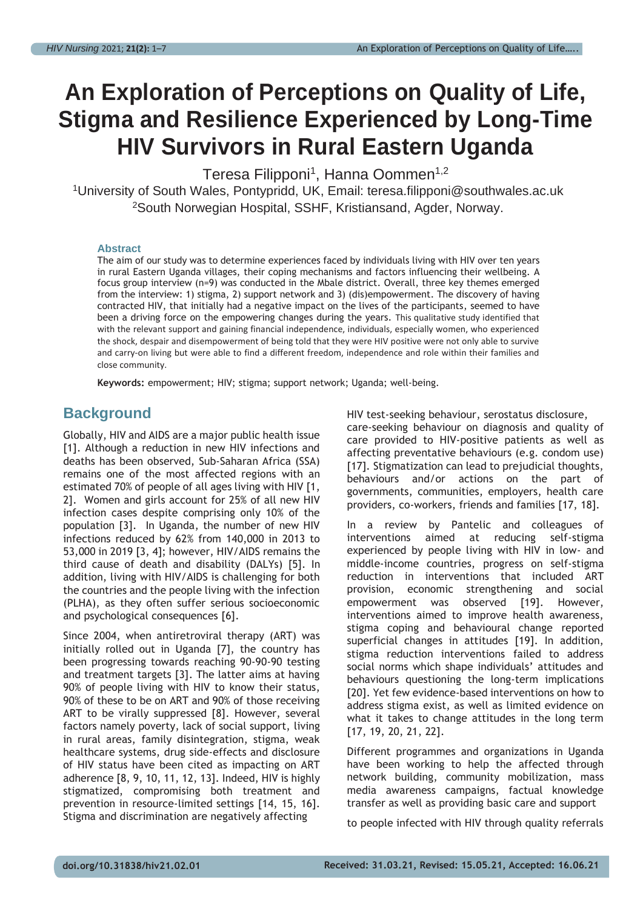# **An Exploration of Perceptions on Quality of Life, Stigma and Resilience Experienced by Long-Time HIV Survivors in Rural Eastern Uganda**

Teresa Filipponi<sup>1</sup>, Hanna Oommen<sup>1,2</sup>

<sup>1</sup>University of South Wales, Pontypridd, UK, Email: [teresa.filipponi@southwales.ac.uk](mailto:teresa.filipponi@southwales.ac.uk) <sup>2</sup>South Norwegian Hospital, SSHF, Kristiansand, Agder, Norway.

#### **Abstract**

The aim of our study was to determine experiences faced by individuals living with HIV over ten years in rural Eastern Uganda villages, their coping mechanisms and factors influencing their wellbeing. A focus group interview (n=9) was conducted in the Mbale district. Overall, three key themes emerged from the interview: 1) stigma, 2) support network and 3) (dis)empowerment. The discovery of having contracted HIV, that initially had a negative impact on the lives of the participants, seemed to have been a driving force on the empowering changes during the years. This qualitative study identified that with the relevant support and gaining financial independence, individuals, especially women, who experienced the shock, despair and disempowerment of being told that they were HIV positive were not only able to survive and carry-on living but were able to find a different freedom, independence and role within their families and close community.

**Keywords:** empowerment; HIV; stigma; support network; Uganda; well-being.

### **Background**

Globally, HIV and AIDS are a major public health issue [1]. Although a reduction in new HIV infections and deaths has been observed, Sub-Saharan Africa (SSA) remains one of the most affected regions with an estimated 70% of people of all ages living with HIV [1, 2]. Women and girls account for 25% of all new HIV infection cases despite comprising only 10% of the population [3]. In Uganda, the number of new HIV infections reduced by 62% from 140,000 in 2013 to 53,000 in 2019 [3, 4]; however, HIV/AIDS remains the third cause of death and disability (DALYs) [5]. In addition, living with HIV/AIDS is challenging for both the countries and the people living with the infection (PLHA), as they often suffer serious socioeconomic and psychological consequences [6].

Since 2004, when antiretroviral therapy (ART) was initially rolled out in Uganda [7], the country has been progressing towards reaching 90-90-90 testing and treatment targets [3]. The latter aims at having 90% of people living with HIV to know their status, 90% of these to be on ART and 90% of those receiving ART to be virally suppressed [8]. However, several factors namely poverty, lack of social support, living in rural areas, family disintegration, stigma, weak healthcare systems, drug side-effects and disclosure of HIV status have been cited as impacting on ART adherence [8, 9, 10, 11, 12, 13]. Indeed, HIV is highly stigmatized, compromising both treatment and prevention in resource-limited settings [14, 15, 16]. Stigma and discrimination are negatively affecting

HIV test-seeking behaviour, serostatus disclosure, care-seeking behaviour on diagnosis and quality of care provided to HIV-positive patients as well as affecting preventative behaviours (e.g. condom use) [17]. Stigmatization can lead to prejudicial thoughts, behaviours and/or actions on the part of governments, communities, employers, health care providers, co-workers, friends and families [17, 18].

In a review by Pantelic and colleagues of interventions aimed at reducing self-stigma experienced by people living with HIV in low- and middle-income countries, progress on self-stigma reduction in interventions that included ART provision, economic strengthening and social empowerment was observed [19]. However, interventions aimed to improve health awareness, stigma coping and behavioural change reported superficial changes in attitudes [19]. In addition, stigma reduction interventions failed to address social norms which shape individuals' attitudes and behaviours questioning the long-term implications [20]. Yet few evidence-based interventions on how to address stigma exist, as well as limited evidence on what it takes to change attitudes in the long term [17, 19, 20, 21, 22].

Different programmes and organizations in Uganda have been working to help the affected through network building, community mobilization, mass media awareness campaigns, factual knowledge transfer as well as providing basic care and support

to people infected with HIV through quality referrals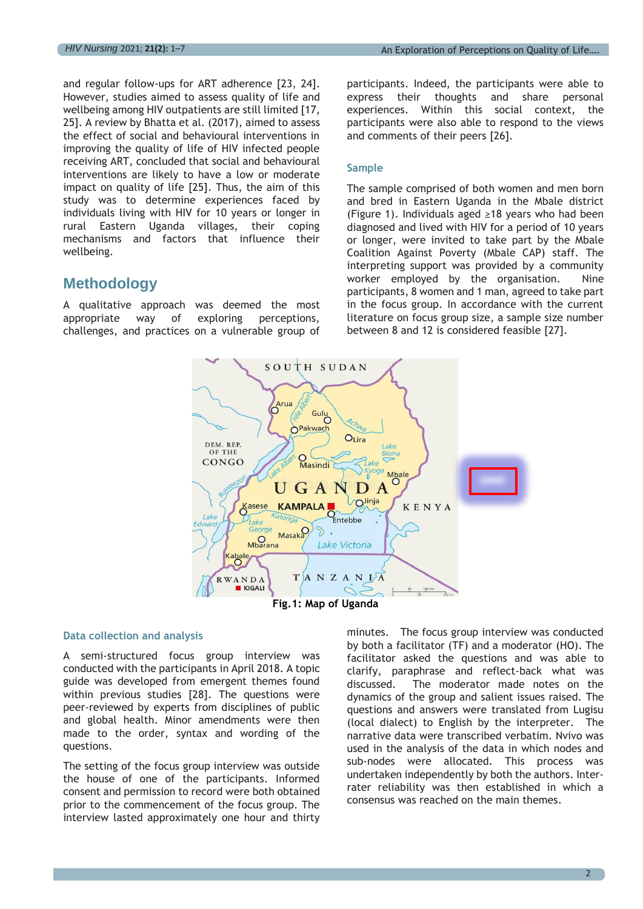and regular follow-ups for ART adherence [23, 24]. However, studies aimed to assess quality of life and wellbeing among HIV outpatients are still limited [17, 25]. A review by Bhatta et al. (2017), aimed to assess the effect of social and behavioural interventions in improving the quality of life of HIV infected people receiving ART, concluded that social and behavioural interventions are likely to have a low or moderate impact on quality of life [25]. Thus, the aim of this study was to determine experiences faced by individuals living with HIV for 10 years or longer in rural Eastern Uganda villages, their coping mechanisms and factors that influence their wellbeing.

### **Methodology**

A qualitative approach was deemed the most appropriate way of exploring perceptions, challenges, and practices on a vulnerable group of participants. Indeed, the participants were able to express their thoughts and share personal experiences. Within this social context, the participants were also able to respond to the views and comments of their peers [26].

### **Sample**

The sample comprised of both women and men born and bred in Eastern Uganda in the Mbale district (Figure 1). Individuals aged ≥18 years who had been diagnosed and lived with HIV for a period of 10 years or longer, were invited to take part by the Mbale Coalition Against Poverty (Mbale CAP) staff. The interpreting support was provided by a community worker employed by the organisation. Nine participants, 8 women and 1 man, agreed to take part in the focus group. In accordance with the current literature on focus group size, a sample size number between 8 and 12 is considered feasible [27].



### **Data collection and analysis**

A semi-structured focus group interview was conducted with the participants in April 2018. A topic guide was developed from emergent themes found within previous studies [28]. The questions were peer-reviewed by experts from disciplines of public and global health. Minor amendments were then made to the order, syntax and wording of the questions.

The setting of the focus group interview was outside the house of one of the participants. Informed consent and permission to record were both obtained prior to the commencement of the focus group. The interview lasted approximately one hour and thirty minutes. The focus group interview was conducted by both a facilitator (TF) and a moderator (HO). The facilitator asked the questions and was able to clarify, paraphrase and reflect-back what was discussed. The moderator made notes on the dynamics of the group and salient issues raised. The questions and answers were translated from Lugisu (local dialect) to English by the interpreter. The narrative data were transcribed verbatim. Nvivo was used in the analysis of the data in which nodes and sub-nodes were allocated. This process was undertaken independently by both the authors. Interrater reliability was then established in which a consensus was reached on the main themes.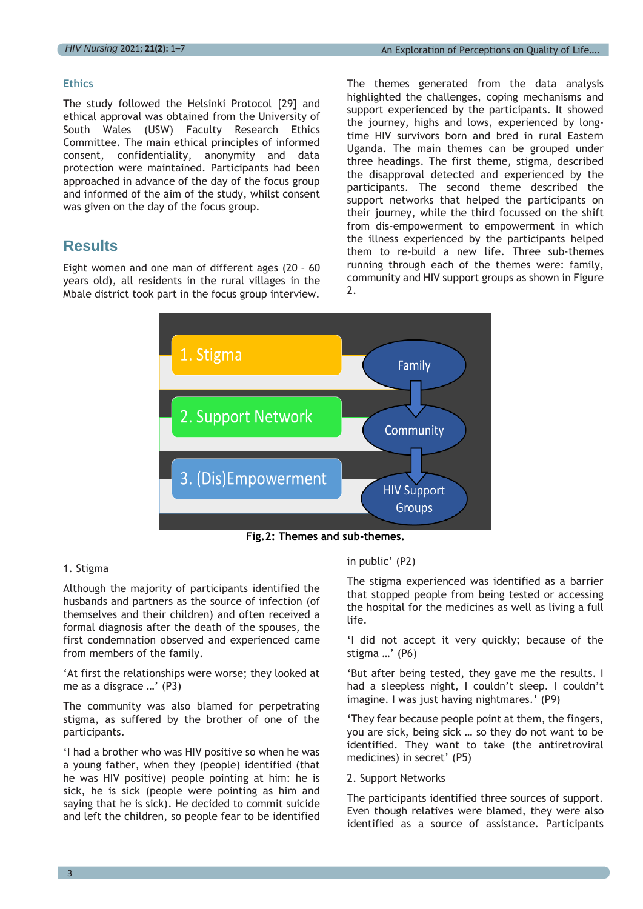### **Ethics**

The study followed the Helsinki Protocol [29] and ethical approval was obtained from the University of South Wales (USW) Faculty Research Ethics Committee. The main ethical principles of informed consent, confidentiality, anonymity and data protection were maintained. Participants had been approached in advance of the day of the focus group and informed of the aim of the study, whilst consent was given on the day of the focus group.

## **Results**

Eight women and one man of different ages (20 – 60 years old), all residents in the rural villages in the Mbale district took part in the focus group interview. The themes generated from the data analysis highlighted the challenges, coping mechanisms and support experienced by the participants. It showed the journey, highs and lows, experienced by longtime HIV survivors born and bred in rural Eastern Uganda. The main themes can be grouped under three headings. The first theme, stigma, described the disapproval detected and experienced by the participants. The second theme described the support networks that helped the participants on their journey, while the third focussed on the shift from dis-empowerment to empowerment in which the illness experienced by the participants helped them to re-build a new life. Three sub-themes running through each of the themes were: family, community and HIV support groups as shown in Figure 2.



**Fig.2: Themes and sub-themes.**

### 1. Stigma

Although the majority of participants identified the husbands and partners as the source of infection (of themselves and their children) and often received a formal diagnosis after the death of the spouses, the first condemnation observed and experienced came from members of the family.

'At first the relationships were worse; they looked at me as a disgrace …' (P3)

The community was also blamed for perpetrating stigma, as suffered by the brother of one of the participants.

'I had a brother who was HIV positive so when he was a young father, when they (people) identified (that he was HIV positive) people pointing at him: he is sick, he is sick (people were pointing as him and saying that he is sick). He decided to commit suicide and left the children, so people fear to be identified in public' (P2)

The stigma experienced was identified as a barrier that stopped people from being tested or accessing the hospital for the medicines as well as living a full life.

'I did not accept it very quickly; because of the stigma …' (P6)

'But after being tested, they gave me the results. I had a sleepless night, I couldn't sleep. I couldn't imagine. I was just having nightmares.' (P9)

'They fear because people point at them, the fingers, you are sick, being sick … so they do not want to be identified. They want to take (the antiretroviral medicines) in secret' (P5)

### 2. Support Networks

The participants identified three sources of support. Even though relatives were blamed, they were also identified as a source of assistance. Participants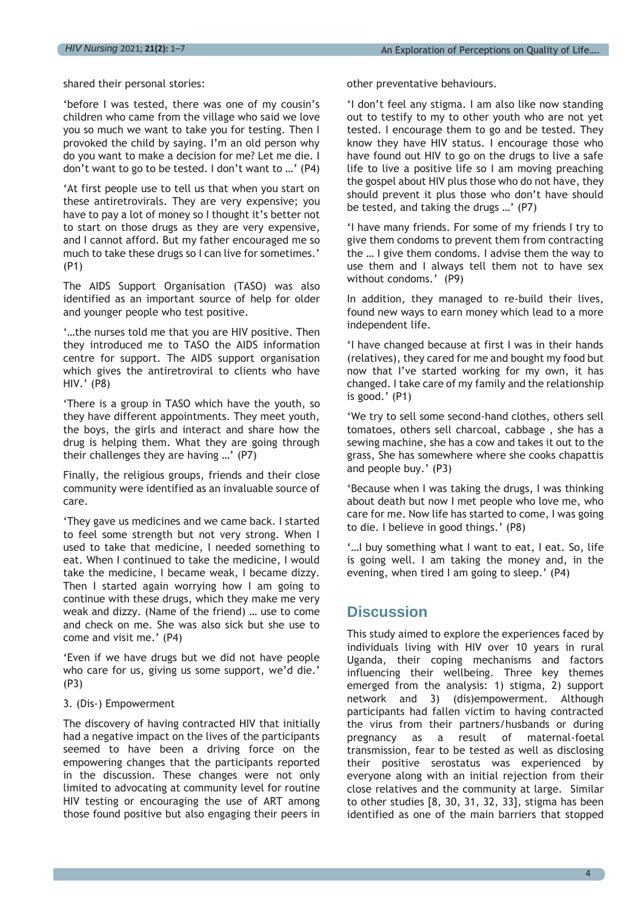shared their personal stories:

'before I was tested, there was one of my cousin's children who came from the village who said we love you so much we want to take you for testing. Then I provoked the child by saying. I'm an old person why do you want to make a decision for me? Let me die. I don't want to go to be tested. I don't want to …' (P4)

'At first people use to tell us that when you start on these antiretrovirals. They are very expensive; you have to pay a lot of money so I thought it's better not to start on those drugs as they are very expensive, and I cannot afford. But my father encouraged me so much to take these drugs so I can live for sometimes.' (P1)

The AIDS Support Organisation (TASO) was also identified as an important source of help for older and younger people who test positive.

'…the nurses told me that you are HIV positive. Then they introduced me to TASO the AIDS information centre for support. The AIDS support organisation which gives the antiretroviral to clients who have HIV.' (P8)

'There is a group in TASO which have the youth, so they have different appointments. They meet youth, the boys, the girls and interact and share how the drug is helping them. What they are going through their challenges they are having …' (P7)

Finally, the religious groups, friends and their close community were identified as an invaluable source of care.

'They gave us medicines and we came back. I started to feel some strength but not very strong. When I used to take that medicine, I needed something to eat. When I continued to take the medicine, I would take the medicine, I became weak, I became dizzy. Then I started again worrying how I am going to continue with these drugs, which they make me very weak and dizzy. (Name of the friend) … use to come and check on me. She was also sick but she use to come and visit me.' (P4)

'Even if we have drugs but we did not have people who care for us, giving us some support, we'd die.' (P3)

### 3. (Dis-) Empowerment

The discovery of having contracted HIV that initially had a negative impact on the lives of the participants seemed to have been a driving force on the empowering changes that the participants reported in the discussion. These changes were not only limited to advocating at community level for routine HIV testing or encouraging the use of ART among those found positive but also engaging their peers in other preventative behaviours.

'I don't feel any stigma. I am also like now standing out to testify to my to other youth who are not yet tested. I encourage them to go and be tested. They know they have HIV status. I encourage those who have found out HIV to go on the drugs to live a safe life to live a positive life so I am moving preaching the gospel about HIV plus those who do not have, they should prevent it plus those who don't have should be tested, and taking the drugs …' (P7)

'I have many friends. For some of my friends I try to give them condoms to prevent them from contracting the … I give them condoms. I advise them the way to use them and I always tell them not to have sex without condoms.' (P9)

In addition, they managed to re-build their lives, found new ways to earn money which lead to a more independent life.

'I have changed because at first I was in their hands (relatives), they cared for me and bought my food but now that I've started working for my own, it has changed. I take care of my family and the relationship is good.' (P1)

'We try to sell some second-hand clothes, others sell tomatoes, others sell charcoal, cabbage , she has a sewing machine, she has a cow and takes it out to the grass, She has somewhere where she cooks chapattis and people buy.' (P3)

'Because when I was taking the drugs, I was thinking about death but now I met people who love me, who care for me. Now life has started to come, I was going to die. I believe in good things.' (P8)

'…I buy something what I want to eat, I eat. So, life is going well. I am taking the money and, in the evening, when tired I am going to sleep.' (P4)

### **Discussion**

This study aimed to explore the experiences faced by individuals living with HIV over 10 years in rural Uganda, their coping mechanisms and factors influencing their wellbeing. Three key themes emerged from the analysis: 1) stigma, 2) support network and 3) (dis)empowerment. Although participants had fallen victim to having contracted the virus from their partners/husbands or during pregnancy as a result of maternal-foetal transmission, fear to be tested as well as disclosing their positive serostatus was experienced by everyone along with an initial rejection from their close relatives and the community at large. Similar to other studies [8, 30, 31, 32, 33], stigma has been identified as one of the main barriers that stopped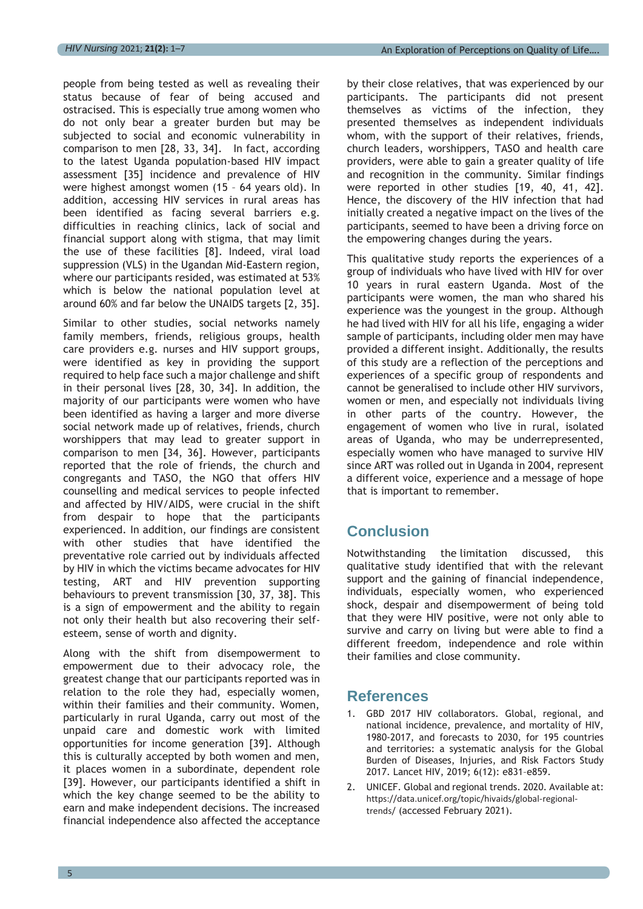people from being tested as well as revealing their status because of fear of being accused and ostracised. This is especially true among women who do not only bear a greater burden but may be subjected to social and economic vulnerability in comparison to men [28, 33, 34]. In fact, according to the latest Uganda population-based HIV impact assessment [35] incidence and prevalence of HIV were highest amongst women (15 – 64 years old). In addition, accessing HIV services in rural areas has been identified as facing several barriers e.g. difficulties in reaching clinics, lack of social and financial support along with stigma, that may limit the use of these facilities [8]. Indeed, viral load suppression (VLS) in the Ugandan Mid-Eastern region, where our participants resided, was estimated at 53% which is below the national population level at around 60% and far below the UNAIDS targets [2, 35].

Similar to other studies, social networks namely family members, friends, religious groups, health care providers e.g. nurses and HIV support groups, were identified as key in providing the support required to help face such a major challenge and shift in their personal lives [28, 30, 34]. In addition, the majority of our participants were women who have been identified as having a larger and more diverse social network made up of relatives, friends, church worshippers that may lead to greater support in comparison to men [34, 36]. However, participants reported that the role of friends, the church and congregants and TASO, the NGO that offers HIV counselling and medical services to people infected and affected by HIV/AIDS, were crucial in the shift from despair to hope that the participants experienced. In addition, our findings are consistent with other studies that have identified the preventative role carried out by individuals affected by HIV in which the victims became advocates for HIV testing, ART and HIV prevention supporting behaviours to prevent transmission [30, 37, 38]. This is a sign of empowerment and the ability to regain not only their health but also recovering their selfesteem, sense of worth and dignity.

Along with the shift from disempowerment to empowerment due to their advocacy role, the greatest change that our participants reported was in relation to the role they had, especially women, within their families and their community. Women, particularly in rural Uganda, carry out most of the unpaid care and domestic work with limited opportunities for income generation [39]. Although this is culturally accepted by both women and men, it places women in a subordinate, dependent role [39]. However, our participants identified a shift in which the key change seemed to be the ability to earn and make independent decisions. The increased financial independence also affected the acceptance

by their close relatives, that was experienced by our participants. The participants did not present themselves as victims of the infection, they presented themselves as independent individuals whom, with the support of their relatives, friends, church leaders, worshippers, TASO and health care providers, were able to gain a greater quality of life and recognition in the community. Similar findings were reported in other studies [19, 40, 41, 42]. Hence, the discovery of the HIV infection that had initially created a negative impact on the lives of the participants, seemed to have been a driving force on the empowering changes during the years.

This qualitative study reports the experiences of a group of individuals who have lived with HIV for over 10 years in rural eastern Uganda. Most of the participants were women, the man who shared his experience was the youngest in the group. Although he had lived with HIV for all his life, engaging a wider sample of participants, including older men may have provided a different insight. Additionally, the results of this study are a reflection of the perceptions and experiences of a specific group of respondents and cannot be generalised to include other HIV survivors, women or men, and especially not individuals living in other parts of the country. However, the engagement of women who live in rural, isolated areas of Uganda, who may be underrepresented, especially women who have managed to survive HIV since ART was rolled out in Uganda in 2004, represent a different voice, experience and a message of hope that is important to remember.

# **Conclusion**

Notwithstanding the limitation discussed, this qualitative study identified that with the relevant support and the gaining of financial independence, individuals, especially women, who experienced shock, despair and disempowerment of being told that they were HIV positive, were not only able to survive and carry on living but were able to find a different freedom, independence and role within their families and close community.

### **References**

- 1. GBD 2017 HIV collaborators. Global, regional, and national incidence, prevalence, and mortality of HIV, 1980-2017, and forecasts to 2030, for 195 countries and territories: a systematic analysis for the Global Burden of Diseases, Injuries, and Risk Factors Study 2017. Lancet HIV, 2019; 6(12): e831–e859.
- 2. UNICEF. Global and regional trends. 2020. Available at: [https://data.unicef.org/topic/hivaids/global-regional](https://data.unicef.org/topic/hivaids/global-regional-trends/)[trends/](https://data.unicef.org/topic/hivaids/global-regional-trends/) (accessed February 2021).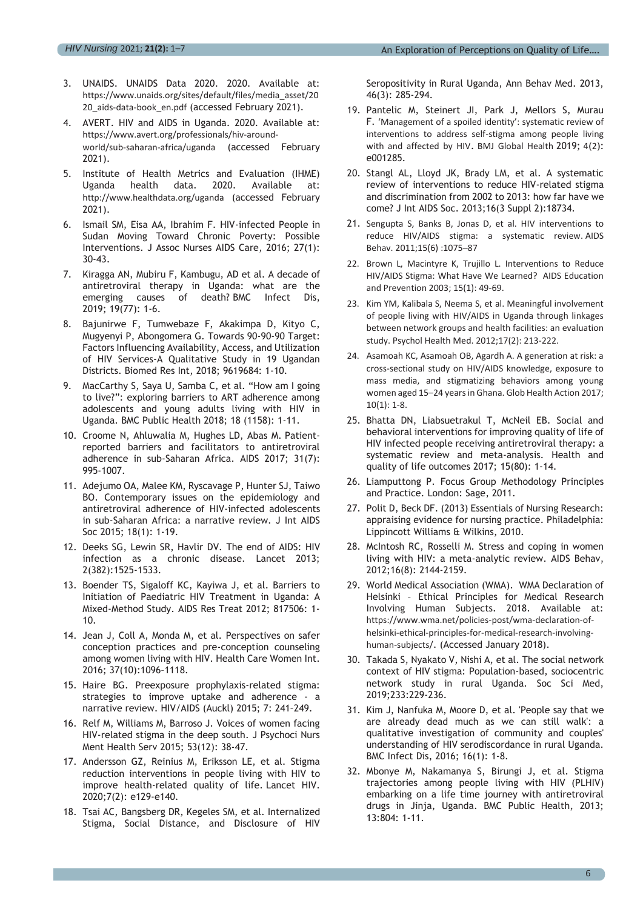- 3. UNAIDS. UNAIDS Data 2020. 2020. Available at: [https://www.unaids.org/sites/default/files/media\\_asset/20](https://www.unaids.org/sites/default/files/media_asset/2020_aids-data-book_en.pdf) 20 aids-data-book en.pdf (accessed February 2021).
- 4. AVERT. HIV and AIDS in Uganda. 2020. Available at: [https://www.avert.org/professionals/hiv-around](https://www.avert.org/professionals/hiv-around-world/sub-saharan-africa/uganda)[world/sub-saharan-africa/uganda](https://www.avert.org/professionals/hiv-around-world/sub-saharan-africa/uganda) (accessed February 2021).
- 5. Institute of Health Metrics and Evaluation (IHME) Uganda health data. 2020. Available at: <http://www.healthdata.org/uganda> (accessed February 2021).
- 6. Ismail SM, Eisa AA, Ibrahim F. HIV-infected People in Sudan Moving Toward Chronic Poverty: Possible Interventions. J Assoc Nurses AIDS Care, 2016; 27(1): 30-43.
- 7. Kiragga AN, Mubiru F, Kambugu, AD et al. A decade of antiretroviral therapy in Uganda: what are the emerging causes of death? BMC Infect Dis, 2019; 19(77): 1-6.
- 8. Bajunirwe F, Tumwebaze F, Akakimpa D, Kityo C, Mugyenyi P, Abongomera G. Towards 90-90-90 Target: Factors Influencing Availability, Access, and Utilization of HIV Services-A Qualitative Study in 19 Ugandan Districts. Biomed Res Int, 2018; 9619684: 1-10.
- 9. MacCarthy S, Saya U, Samba C, et al. "How am I going to live?": exploring barriers to ART adherence among adolescents and young adults living with HIV in Uganda. BMC Public Health 2018; 18 (1158): 1-11.
- 10. Croome N, Ahluwalia M, Hughes LD, Abas M. Patientreported barriers and facilitators to antiretroviral adherence in sub-Saharan Africa. AIDS 2017; 31(7): 995-1007.
- 11. Adejumo OA, Malee KM, Ryscavage P, Hunter SJ, Taiwo BO. Contemporary issues on the epidemiology and antiretroviral adherence of HIV-infected adolescents in sub-Saharan Africa: a narrative review. J Int AIDS Soc 2015; 18(1): 1-19.
- 12. Deeks SG, Lewin SR, Havlir DV. The end of AIDS: HIV infection as a chronic disease. Lancet 2013; 2(382):1525-1533.
- 13. Boender TS, Sigaloff KC, Kayiwa J, et al. Barriers to Initiation of Paediatric HIV Treatment in Uganda: A Mixed-Method Study. AIDS Res Treat 2012; 817506: 1- 10.
- 14. Jean J, Coll A, Monda M, et al. Perspectives on safer conception practices and pre-conception counseling among women living with HIV. Health Care Women Int. 2016; 37(10):1096–1118.
- 15. Haire BG. Preexposure prophylaxis-related stigma: strategies to improve uptake and adherence - a narrative review. HIV/AIDS (Auckl) 2015; 7: 241–249.
- 16. Relf M, Williams M, Barroso J. Voices of women facing HIV-related stigma in the deep south. J Psychoci Nurs Ment Health Serv 2015; 53(12): 38-47.
- 17. Andersson GZ, Reinius M, Eriksson LE, et al. Stigma reduction interventions in people living with HIV to improve health-related quality of life. Lancet HIV. 2020;7(2): e129-e140.
- 18. Tsai AC, Bangsberg DR, Kegeles SM, et al. Internalized Stigma, Social Distance, and Disclosure of HIV

Seropositivity in Rural Uganda, Ann Behav Med. 2013, 46(3): 285-294.

- 19. Pantelic M, Steinert JI, Park J, Mellors S, Murau F. 'Management of a spoiled identity': systematic review of interventions to address self-stigma among people living with and affected by HIV. BMJ Global Health 2019; 4(2): e001285.
- 20. Stangl AL, Lloyd JK, Brady LM, et al. A systematic review of interventions to reduce HIV-related stigma and discrimination from 2002 to 2013: how far have we come? J Int AIDS Soc. 2013;16(3 Suppl 2):18734.
- 21. Sengupta S, Banks B, Jonas D, et al. HIV interventions to reduce HIV/AIDS stigma: a systematic review. AIDS Behav. 2011;15(6) :1075–87
- 22. Brown L, Macintyre K, Trujillo L. Interventions to Reduce HIV/AIDS Stigma: What Have We Learned? AIDS Education and Prevention 2003; 15(1): 49-69.
- 23. Kim YM, Kalibala S, Neema S, et al. Meaningful involvement of people living with HIV/AIDS in Uganda through linkages between network groups and health facilities: an evaluation study. Psychol Health Med. 2012;17(2): 213-222.
- 24. Asamoah KC, Asamoah OB, Agardh A. A generation at risk: a cross-sectional study on HIV/AIDS knowledge, exposure to mass media, and stigmatizing behaviors among young women aged 15–24 years in Ghana. Glob Health Action 2017; 10(1): 1-8.
- 25. Bhatta DN, Liabsuetrakul T, McNeil EB. Social and behavioral interventions for improving quality of life of HIV infected people receiving antiretroviral therapy: a systematic review and meta-analysis. Health and quality of life outcomes 2017; 15(80): 1-14.
- 26. Liamputtong P. Focus Group Methodology Principles and Practice. London: Sage, 2011.
- 27. Polit D, Beck DF. (2013) Essentials of Nursing Research: appraising evidence for nursing practice. Philadelphia: Lippincott Williams & Wilkins, 2010.
- 28. McIntosh RC, Rosselli M. Stress and coping in women living with HIV: a meta-analytic review. AIDS Behav, 2012;16(8): 2144-2159.
- 29. World Medical Association (WMA). WMA Declaration of Helsinki – Ethical Principles for Medical Research Involving Human Subjects. 2018. Available at: [https://www.wma.net/policies-post/wma-declaration-of](https://www.wma.net/policies-post/wma-declaration-of-helsinki-ethical-principles-for-medical-research-involving-human-subjects/)[helsinki-ethical-principles-for-medical-research-involving](https://www.wma.net/policies-post/wma-declaration-of-helsinki-ethical-principles-for-medical-research-involving-human-subjects/)[human-subjects/](https://www.wma.net/policies-post/wma-declaration-of-helsinki-ethical-principles-for-medical-research-involving-human-subjects/). (Accessed January 2018).
- 30. Takada S, Nyakato V, Nishi A, et al. The social network context of HIV stigma: Population-based, sociocentric network study in rural Uganda. Soc Sci Med, 2019;233:229-236.
- 31. Kim J, Nanfuka M, Moore D, et al. 'People say that we are already dead much as we can still walk': a qualitative investigation of community and couples' understanding of HIV serodiscordance in rural Uganda. BMC Infect Dis, 2016; 16(1): 1-8.
- 32. Mbonye M, Nakamanya S, Birungi J, et al. Stigma trajectories among people living with HIV (PLHIV) embarking on a life time journey with antiretroviral drugs in Jinja, Uganda. BMC Public Health, 2013; 13:804: 1-11.